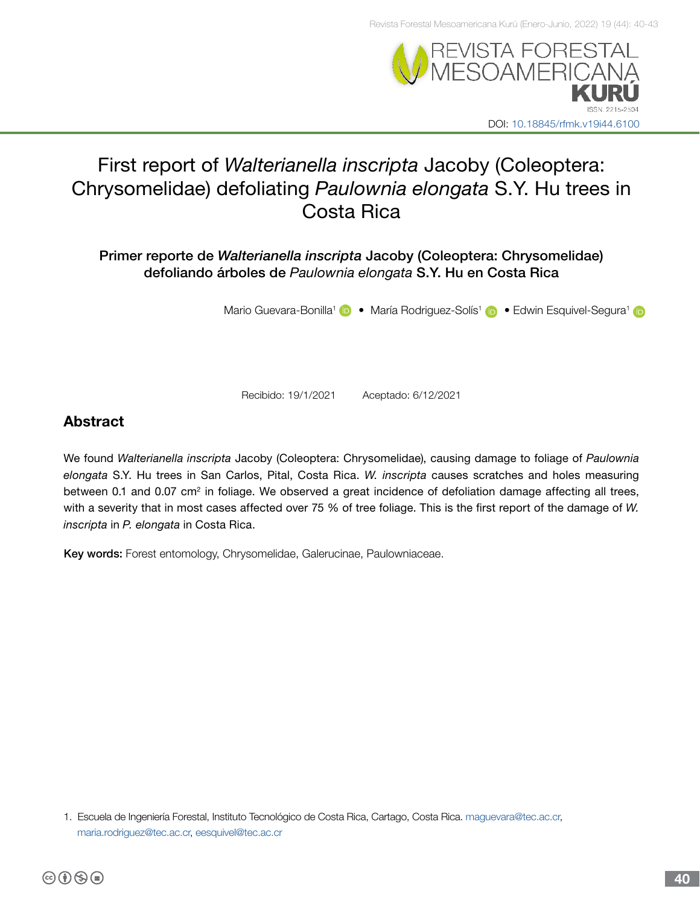

# First report of *Walterianella inscripta* Jacoby (Coleoptera: Chrysomelidae) defoliating *Paulownia elongata* S.Y. Hu trees in Costa Rica

Primer reporte de *Walterianella inscripta* Jacoby (Coleoptera: Chrysomelidae) defoliando árboles de *Paulownia elongata* S.Y. Hu en Costa Rica

MarioGuevara-Bonilla<sup>1</sup> (D) • María Rodriguez-Solís<sup>1</sup> (D) • Edwin Esquivel-Segura<sup>1</sup>

Recibido: 19/1/2021 Aceptado: 6/12/2021

## Abstract

We found *Walterianella inscripta* Jacoby (Coleoptera: Chrysomelidae), causing damage to foliage of *Paulownia elongata* S.Y. Hu trees in San Carlos, Pital, Costa Rica. *W. inscripta* causes scratches and holes measuring between 0.1 and 0.07 cm<sup>2</sup> in foliage. We observed a great incidence of defoliation damage affecting all trees, with a severity that in most cases affected over 75 % of tree foliage. This is the first report of the damage of *W. inscripta* in *P. elongata* in Costa Rica.

Key words: Forest entomology, Chrysomelidae, Galerucinae, Paulowniaceae.

<sup>1.</sup> Escuela de Ingeniería Forestal, Instituto Tecnológico de Costa Rica, Cartago, Costa Rica. [maguevara@tec.ac.cr,](mailto:maguevara%40tec.ac.cr?subject=) [maria.rodriguez@tec.ac.cr](mailto:%20maria.rodriguez%40tec.ac.cr?subject=), [eesquivel@tec.ac.cr](mailto:eesquivel%40tec.ac.cr%20?subject=)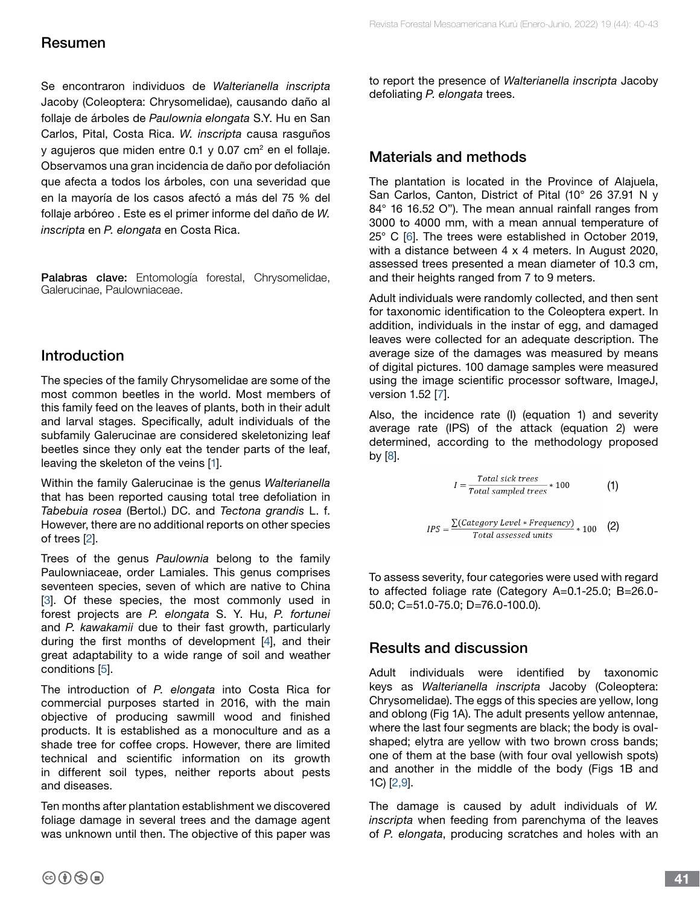# Resumen

Se encontraron individuos de *Walterianella inscripta* Jacoby (Coleoptera: Chrysomelidae), causando daño al follaje de árboles de *Paulownia elongata* S.Y. Hu en San Carlos, Pital, Costa Rica. *W. inscripta* causa rasguños y agujeros que miden entre 0.1 y 0.07 cm<sup>2</sup> en el follaje. Observamos una gran incidencia de daño por defoliación que afecta a todos los árboles, con una severidad que en la mayoría de los casos afectó a más del 75 % del follaje arbóreo . Este es el primer informe del daño de *W. inscripta* en *P. elongata* en Costa Rica.

Palabras clave: Entomología forestal, Chrysomelidae, Galerucinae, Paulowniaceae.

## Introduction

The species of the family Chrysomelidae are some of the most common beetles in the world. Most members of this family feed on the leaves of plants, both in their adult and larval stages. Specifically, adult individuals of the subfamily Galerucinae are considered skeletonizing leaf beetles since they only eat the tender parts of the leaf, leaving the skeleton of the veins [\[1](#page-3-0)].

Within the family Galerucinae is the genus *Walterianella* that has been reported causing total tree defoliation in *Tabebuia rosea* (Bertol.) DC. and *Tectona grandis* L. f. However, there are no additional reports on other species of trees [\[2\]](#page-3-0).

Trees of the genus *Paulownia* belong to the family Paulowniaceae, order Lamiales. This genus comprises seventeen species, seven of which are native to China [[3](#page-3-0)]. Of these species, the most commonly used in forest projects are *P. elongata* S. Y. Hu, *P. fortunei* and *P. kawakamii* due to their fast growth, particularly during the first months of development [\[4](#page-3-0)], and their great adaptability to a wide range of soil and weather conditions [\[5\]](#page-3-0).

The introduction of *P. elongata* into Costa Rica for commercial purposes started in 2016, with the main objective of producing sawmill wood and finished products. It is established as a monoculture and as a shade tree for coffee crops. However, there are limited technical and scientific information on its growth in different soil types, neither reports about pests and diseases.

Ten months after plantation establishment we discovered foliage damage in several trees and the damage agent was unknown until then. The objective of this paper was to report the presence of *Walterianella inscripta* Jacoby defoliating *P. elongata* trees.

# Materials and methods

The plantation is located in the Province of Alajuela, San Carlos, Canton, District of Pital (10° 26 37.91 N y 84° 16 16.52 O"). The mean annual rainfall ranges from 3000 to 4000 mm, with a mean annual temperature of 25° C [[6](#page-3-0)]. The trees were established in October 2019, with a distance between 4 x 4 meters. In August 2020, assessed trees presented a mean diameter of 10.3 cm, and their heights ranged from 7 to 9 meters.

Adult individuals were randomly collected, and then sent for taxonomic identification to the Coleoptera expert. In addition, individuals in the instar of egg, and damaged leaves were collected for an adequate description. The average size of the damages was measured by means of digital pictures. 100 damage samples were measured using the image scientific processor software, ImageJ, version 1.52 [[7](#page-3-0)].

Also, the incidence rate (I) (equation 1) and severity average rate (IPS) of the attack (equation 2) were determined, according to the methodology proposed by [\[8\]](#page-3-0).

$$
I = \frac{Total\ sick\ trees}{Total\ sampled\ trees} * 100 \tag{1}
$$

$$
IPS = \frac{\sum (Category Level * Frequency)}{Total assessed units} * 100
$$
 (2)

To assess severity, four categories were used with regard to affected foliage rate (Category A=0.1-25.0; B=26.0- 50.0; C=51.0-75.0; D=76.0-100.0).

#### Results and discussion

Adult individuals were identified by taxonomic keys as *Walterianella inscripta* Jacoby (Coleoptera: Chrysomelidae). The eggs of this species are yellow, long and oblong (Fig 1A). The adult presents yellow antennae, where the last four segments are black; the body is ovalshaped; elytra are yellow with two brown cross bands; one of them at the base (with four oval yellowish spots) and another in the middle of the body (Figs 1B and 1C) [\[2,9\]](#page-3-0).

The damage is caused by adult individuals of *W. inscripta* when feeding from parenchyma of the leaves of *P. elongata*, producing scratches and holes with an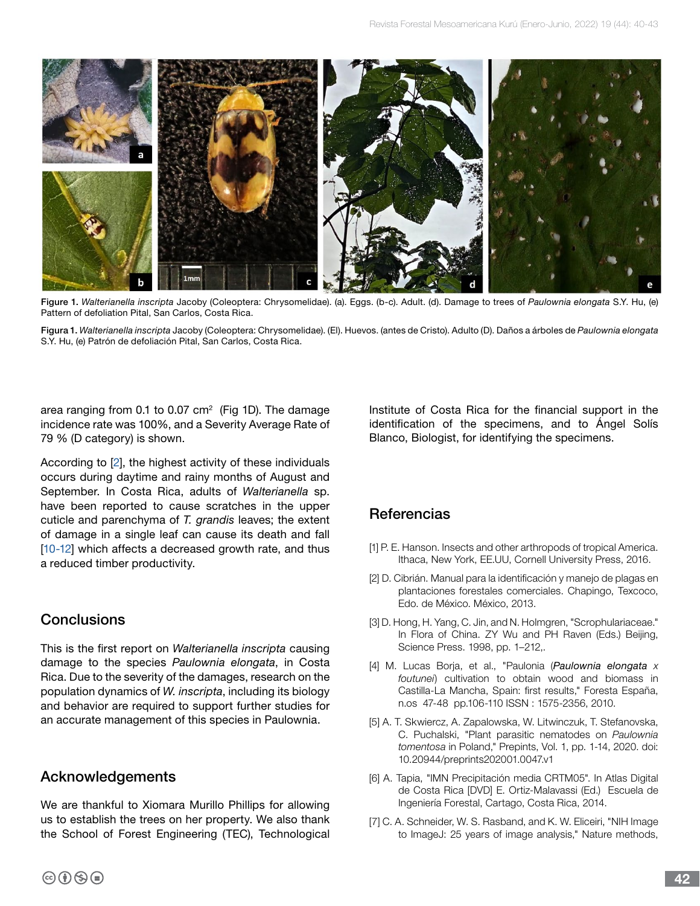

Figure 1. *Walterianella inscripta* Jacoby (Coleoptera: Chrysomelidae). (a). Eggs. (b-c). Adult. (d). Damage to trees of *Paulownia elongata* S.Y. Hu, (e) Pattern of defoliation Pital, San Carlos, Costa Rica.

Figura 1. *Walterianella inscripta* Jacoby (Coleoptera: Chrysomelidae). (El). Huevos. (antes de Cristo). Adulto (D). Daños a árboles de *Paulownia elongata*  S.Y. Hu, (e) Patrón de defoliación Pital, San Carlos, Costa Rica.

area ranging from 0.1 to 0.07  $cm<sup>2</sup>$  (Fig 1D). The damage incidence rate was 100%, and a Severity Average Rate of 79 % (D category) is shown.

According to [\[2\]](#page-3-0), the highest activity of these individuals occurs during daytime and rainy months of August and September. In Costa Rica, adults of *Walterianella* sp. have been reported to cause scratches in the upper cuticle and parenchyma of *T. grandis* leaves; the extent of damage in a single leaf can cause its death and fall [\[10-12](#page-3-0)] which affects a decreased growth rate, and thus a reduced timber productivity.

#### **Conclusions**

This is the first report on *Walterianella inscripta* causing damage to the species *Paulownia elongata*, in Costa Rica. Due to the severity of the damages, research on the population dynamics of *W. inscripta*, including its biology and behavior are required to support further studies for an accurate management of this species in Paulownia.

#### Acknowledgements

We are thankful to Xiomara Murillo Phillips for allowing us to establish the trees on her property. We also thank the School of Forest Engineering (TEC), Technological Institute of Costa Rica for the financial support in the identification of the specimens, and to Ángel Solís Blanco, Biologist, for identifying the specimens.

## **Referencias**

- [1] P. E. Hanson. Insects and other arthropods of tropical America. Ithaca, New York, EE.UU, Cornell University Press, 2016.
- [2] D. Cibrián. Manual para la identificación y manejo de plagas en plantaciones forestales comerciales. Chapingo, Texcoco, Edo. de México. México, 2013.
- [3] D. Hong, H. Yang, C. Jin, and N. Holmgren, "Scrophulariaceae." In Flora of China. ZY Wu and PH Raven (Eds.) Beijing, Science Press. 1998, pp. 1–212,.
- [4] M. Lucas Borja, et al., "Paulonia (*Paulownia elongata x foutunei*) cultivation to obtain wood and biomass in Castilla-La Mancha, Spain: first results," Foresta España, n.os 47-48 pp.106-110 ISSN : 1575-2356, 2010.
- [5] A. T. Skwiercz, A. Zapalowska, W. Litwinczuk, T. Stefanovska, C. Puchalski, "Plant parasitic nematodes on *Paulownia tomentosa* in Poland," Prepints, Vol. 1, pp. 1-14, 2020. doi: 10.20944/preprints202001.0047.v1
- [6] A. Tapia, "IMN Precipitación media CRTM05". In Atlas Digital de Costa Rica [DVD] E. Ortiz-Malavassi (Ed.) Escuela de Ingeniería Forestal, Cartago, Costa Rica, 2014.
- [7] C. A. Schneider, W. S. Rasband, and K. W. Eliceiri, "NIH Image to ImageJ: 25 years of image analysis," Nature methods,